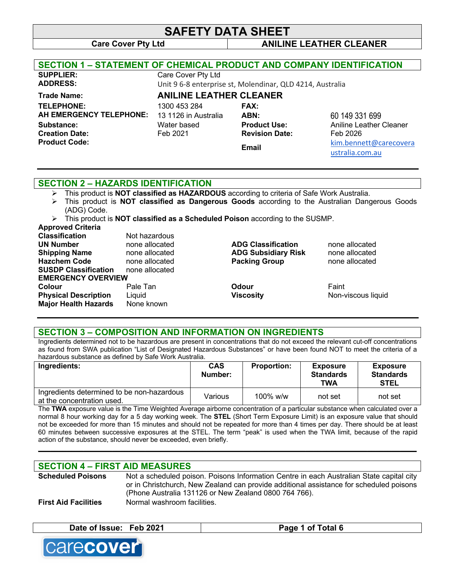#### **Care Cover Pty Ltd ANILINE LEATHER CLEANER**

| <b>SECTION 1 - STATEMENT OF CHEMICAL PRODUCT AND COMPANY IDENTIFICATION</b> |                                      |                                                           |                                           |
|-----------------------------------------------------------------------------|--------------------------------------|-----------------------------------------------------------|-------------------------------------------|
| <b>SUPPLIER:</b>                                                            | Care Cover Pty Ltd                   |                                                           |                                           |
| <b>ADDRESS:</b>                                                             |                                      | Unit 9 6-8 enterprise st, Molendinar, QLD 4214, Australia |                                           |
| <b>Trade Name:</b>                                                          | <b>ANILINE LEATHER CLEANER</b>       |                                                           |                                           |
| <b>TELEPHONE:</b><br>AH EMERGENCY TELEPHONE:                                | 1300 453 284<br>13 1126 in Australia | <b>FAX:</b><br>ABN:                                       | 60 149 331 699                            |
| Substance:                                                                  | Water based                          | <b>Product Use:</b>                                       | Aniline Leather Cleaner                   |
| <b>Creation Date:</b>                                                       | Feb 2021                             | <b>Revision Date:</b>                                     | Feb 2026                                  |
| <b>Product Code:</b>                                                        |                                      | <b>Email</b>                                              | kim.bennett@carecovera<br>ustralia.com.au |
|                                                                             |                                      |                                                           |                                           |

## **SECTION 2 – HAZARDS IDENTIFICATION**

- Ø This product is **NOT classified as HAZARDOUS** according to criteria of Safe Work Australia.
- Ø This product is **NOT classified as Dangerous Goods** according to the Australian Dangerous Goods (ADG) Code.

Ø This product is **NOT classified as a Scheduled Poison** according to the SUSMP.

#### **Approved Criteria**

| <b>Classification</b>       | Not hazardous  |                            |                    |
|-----------------------------|----------------|----------------------------|--------------------|
| <b>UN Number</b>            | none allocated | <b>ADG Classification</b>  | none allocated     |
| <b>Shipping Name</b>        | none allocated | <b>ADG Subsidiary Risk</b> | none allocated     |
| <b>Hazchem Code</b>         | none allocated | <b>Packing Group</b>       | none allocated     |
| <b>SUSDP Classification</b> | none allocated |                            |                    |
| <b>EMERGENCY OVERVIEW</b>   |                |                            |                    |
| <b>Colour</b>               | Pale Tan       | Odour                      | Faint              |
| <b>Physical Description</b> | Liguid         | <b>Viscosity</b>           | Non-viscous liquid |
| <b>Major Health Hazards</b> | None known     |                            |                    |
|                             |                |                            |                    |

## **SECTION 3 – COMPOSITION AND INFORMATION ON INGREDIENTS**

Ingredients determined not to be hazardous are present in concentrations that do not exceed the relevant cut-off concentrations as found from SWA publication "List of Designated Hazardous Substances" or have been found NOT to meet the criteria of a hazardous substance as defined by Safe Work Australia.

| Ingredients:                                                             | <b>CAS</b><br>Number: | <b>Proportion:</b> | <b>Exposure</b><br><b>Standards</b><br><b>TWA</b> | <b>Exposure</b><br><b>Standards</b><br><b>STEL</b> |
|--------------------------------------------------------------------------|-----------------------|--------------------|---------------------------------------------------|----------------------------------------------------|
| Ingredients determined to be non-hazardous<br>at the concentration used. | Various               | $100\%$ w/w        | not set                                           | not set                                            |

The **TWA** exposure value is the Time Weighted Average airborne concentration of a particular substance when calculated over a normal 8 hour working day for a 5 day working week. The **STEL** (Short Term Exposure Limit) is an exposure value that should not be exceeded for more than 15 minutes and should not be repeated for more than 4 times per day. There should be at least 60 minutes between successive exposures at the STEL. The term "peak" is used when the TWA limit, because of the rapid action of the substance, should never be exceeded, even briefly.

**\_\_\_\_\_\_\_\_\_\_\_\_\_\_\_\_\_\_\_\_\_\_\_\_\_\_\_\_\_\_\_\_\_\_\_\_\_\_\_\_\_\_\_\_\_\_\_\_\_\_\_\_\_\_\_\_\_\_\_\_\_\_\_\_\_\_\_\_\_\_\_\_\_\_\_\_\_\_\_\_\_\_\_\_\_\_\_\_\_\_\_\_**

## **SECTION 4 – FIRST AID MEASURES**

| <b>Scheduled Poisons</b>    | Not a scheduled poison. Poisons Information Centre in each Australian State capital city |
|-----------------------------|------------------------------------------------------------------------------------------|
|                             | or in Christchurch, New Zealand can provide additional assistance for scheduled poisons  |
|                             | (Phone Australia 131126 or New Zealand 0800 764 766).                                    |
| <b>First Aid Facilities</b> | Normal washroom facilities.                                                              |

| Date of Issue: Feb 2021 | 1 of Total 6<br>Dogo |
|-------------------------|----------------------|
|                         |                      |

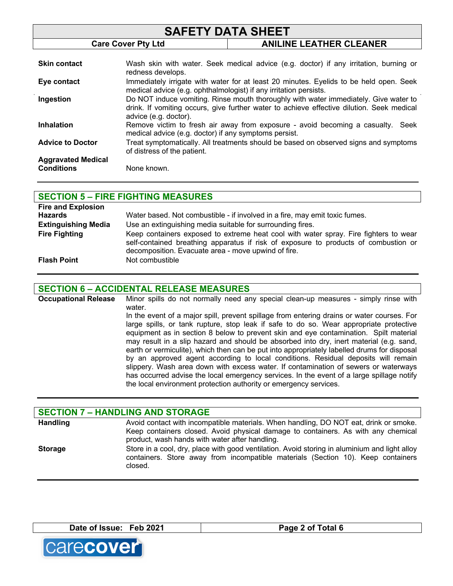| <b>SAFETY DATA SHEET</b>                       |                                                                   |                                                                                                                                                                                   |
|------------------------------------------------|-------------------------------------------------------------------|-----------------------------------------------------------------------------------------------------------------------------------------------------------------------------------|
|                                                | <b>Care Cover Pty Ltd</b>                                         | <b>ANILINE LEATHER CLEANER</b>                                                                                                                                                    |
|                                                |                                                                   |                                                                                                                                                                                   |
| <b>Skin contact</b>                            | redness develops.                                                 | Wash skin with water. Seek medical advice (e.g. doctor) if any irritation, burning or                                                                                             |
| Eye contact                                    | medical advice (e.g. ophthalmologist) if any irritation persists. | Immediately irrigate with water for at least 20 minutes. Eyelids to be held open. Seek                                                                                            |
| Ingestion                                      | advice (e.g. doctor).                                             | Do NOT induce vomiting. Rinse mouth thoroughly with water immediately. Give water to<br>drink. If vomiting occurs, give further water to achieve effective dilution. Seek medical |
| <b>Inhalation</b>                              | medical advice (e.g. doctor) if any symptoms persist.             | Remove victim to fresh air away from exposure - avoid becoming a casualty. Seek                                                                                                   |
| <b>Advice to Doctor</b>                        | of distress of the patient.                                       | Treat symptomatically. All treatments should be based on observed signs and symptoms                                                                                              |
| <b>Aggravated Medical</b><br><b>Conditions</b> | None known.                                                       |                                                                                                                                                                                   |

| <b>SECTION 5 - FIRE FIGHTING MEASURES</b> |                                                                                      |  |
|-------------------------------------------|--------------------------------------------------------------------------------------|--|
| <b>Fire and Explosion</b>                 |                                                                                      |  |
| <b>Hazards</b>                            | Water based. Not combustible - if involved in a fire, may emit toxic fumes.          |  |
| <b>Extinguishing Media</b>                | Use an extinguishing media suitable for surrounding fires.                           |  |
| <b>Fire Fighting</b>                      | Keep containers exposed to extreme heat cool with water spray. Fire fighters to wear |  |
|                                           | self-contained breathing apparatus if risk of exposure to products of combustion or  |  |
|                                           | decomposition. Evacuate area - move upwind of fire.                                  |  |
| <b>Flash Point</b>                        | Not combustible                                                                      |  |

#### **SECTION 6 – ACCIDENTAL RELEASE MEASURES**

**Occupational Release** Minor spills do not normally need any special clean-up measures - simply rinse with water. In the event of a major spill, prevent spillage from entering drains or water courses. For large spills, or tank rupture, stop leak if safe to do so. Wear appropriate protective equipment as in section 8 below to prevent skin and eye contamination. Spilt material may result in a slip hazard and should be absorbed into dry, inert material (e.g. sand, earth or vermiculite), which then can be put into appropriately labelled drums for disposal by an approved agent according to local conditions. Residual deposits will remain slippery. Wash area down with excess water. If contamination of sewers or waterways has occurred advise the local emergency services. In the event of a large spillage notify the local environment protection authority or emergency services.

| <b>SECTION 7 - HANDLING AND STORAGE</b> |                                                                                                                                                                                                                              |  |
|-----------------------------------------|------------------------------------------------------------------------------------------------------------------------------------------------------------------------------------------------------------------------------|--|
| <b>Handling</b>                         | Avoid contact with incompatible materials. When handling, DO NOT eat, drink or smoke.<br>Keep containers closed. Avoid physical damage to containers. As with any chemical<br>product, wash hands with water after handling. |  |
| <b>Storage</b>                          | Store in a cool, dry, place with good ventilation. Avoid storing in aluminium and light alloy<br>containers. Store away from incompatible materials (Section 10). Keep containers<br>closed.                                 |  |

Date of Issue: Feb 2021 **Page 2** of Total 6

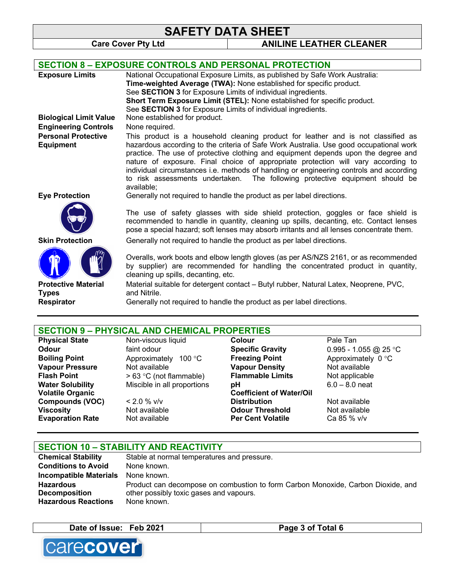**Care Cover Pty Ltd ANILINE LEATHER CLEANER**

|                               | <b>SECTION 8 - EXPOSURE CONTROLS AND PERSONAL PROTECTION</b>                                                                                                                                                                                                                                                                                                                                                                                               |
|-------------------------------|------------------------------------------------------------------------------------------------------------------------------------------------------------------------------------------------------------------------------------------------------------------------------------------------------------------------------------------------------------------------------------------------------------------------------------------------------------|
| <b>Exposure Limits</b>        | National Occupational Exposure Limits, as published by Safe Work Australia:                                                                                                                                                                                                                                                                                                                                                                                |
|                               | Time-weighted Average (TWA): None established for specific product.                                                                                                                                                                                                                                                                                                                                                                                        |
|                               | See SECTION 3 for Exposure Limits of individual ingredients.                                                                                                                                                                                                                                                                                                                                                                                               |
|                               | Short Term Exposure Limit (STEL): None established for specific product.                                                                                                                                                                                                                                                                                                                                                                                   |
|                               | See SECTION 3 for Exposure Limits of individual ingredients.                                                                                                                                                                                                                                                                                                                                                                                               |
| <b>Biological Limit Value</b> | None established for product.                                                                                                                                                                                                                                                                                                                                                                                                                              |
| <b>Engineering Controls</b>   | None required.                                                                                                                                                                                                                                                                                                                                                                                                                                             |
| <b>Personal Protective</b>    | This product is a household cleaning product for leather and is not classified as                                                                                                                                                                                                                                                                                                                                                                          |
| <b>Equipment</b>              | hazardous according to the criteria of Safe Work Australia. Use good occupational work<br>practice. The use of protective clothing and equipment depends upon the degree and<br>nature of exposure. Final choice of appropriate protection will vary according to<br>individual circumstances i.e. methods of handling or engineering controls and according<br>to risk assessments undertaken. The following protective equipment should be<br>available: |
| <b>Eye Protection</b>         | Generally not required to handle the product as per label directions.                                                                                                                                                                                                                                                                                                                                                                                      |
|                               | The use of safety glasses with side shield protection, goggles or face shield is<br>recommended to handle in quantity, cleaning up spills, decanting, etc. Contact lenses<br>pose a special hazard; soft lenses may absorb irritants and all lenses concentrate them.                                                                                                                                                                                      |
| <b>Skin Protection</b>        | Generally not required to handle the product as per label directions.                                                                                                                                                                                                                                                                                                                                                                                      |
|                               | Overalls, work boots and elbow length gloves (as per AS/NZS 2161, or as recommended<br>by supplier) are recommended for handling the concentrated product in quantity,<br>cleaning up spills, decanting, etc.                                                                                                                                                                                                                                              |
| <b>Protective Material</b>    | Material suitable for detergent contact - Butyl rubber, Natural Latex, Neoprene, PVC,                                                                                                                                                                                                                                                                                                                                                                      |
| <b>Types</b>                  | and Nitrile.                                                                                                                                                                                                                                                                                                                                                                                                                                               |
| <b>Respirator</b>             | Generally not required to handle the product as per label directions.                                                                                                                                                                                                                                                                                                                                                                                      |
|                               |                                                                                                                                                                                                                                                                                                                                                                                                                                                            |

# **SECTION 9 – PHYSICAL AND CHEMICAL PROPERTIES**

**Physical State State State State State State** State State State State State State State State State State State State State State State State State State State State State State State State State State State State State S **Odour Example 3 and Specific Gravity CODOUT CONOUT ACCOUNT SPECIFIC Gravity CONOUT ACCOUNT** 0.995 - 1.055 @ 25 °C **Boiling Point** Approximately 100 °C **Freezing Point** Approximately 0 °C<br> **Vapour Pressure** Not available **Constant Vapour Density** Not available **Vapour Pressure** Not available **Vapour Density** Not available **Flash Point** > 63 °C (not flammable) **Flammable Limits** Not applicable **Water Solubility** Miscible in all proportions **pH** 6.0 – 8.0 neat **Volatile Organic Compounds (VOC)** < 2.0 % v/v **Coefficient of Water/Oil Not available Viscosity** Not available **Odour Threshold** Not available **Evaporation Rate** Not available **Per Cent Volatile** Ca 85 % v/v

| <b>SECTION 10 - STABILITY AND REACTIVITY</b> |                                                                                  |  |
|----------------------------------------------|----------------------------------------------------------------------------------|--|
| <b>Chemical Stability</b>                    | Stable at normal temperatures and pressure.                                      |  |
| <b>Conditions to Avoid</b>                   | None known.                                                                      |  |
| <b>Incompatible Materials</b>                | None known.                                                                      |  |
| <b>Hazardous</b>                             | Product can decompose on combustion to form Carbon Monoxide, Carbon Dioxide, and |  |
| <b>Decomposition</b>                         | other possibly toxic gases and vapours.                                          |  |
| <b>Hazardous Reactions</b>                   | None known.                                                                      |  |

**Date of Issue: Feb 2021 Page 3 of Total 6**

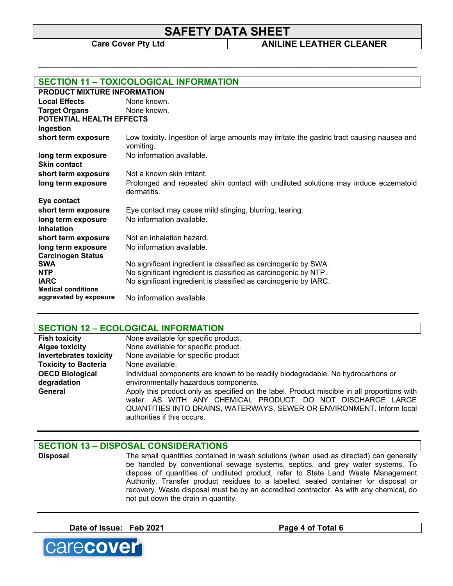\_\_\_\_\_\_\_\_\_\_\_\_\_\_\_\_\_\_\_\_\_\_\_\_\_\_\_\_\_\_\_\_\_\_\_\_\_\_\_\_\_\_\_\_\_\_\_\_\_\_\_\_\_\_\_\_\_\_\_\_\_\_\_\_\_\_\_\_\_\_\_\_\_\_\_\_\_\_\_\_\_\_\_\_\_\_\_\_\_\_\_\_

**Care Cover Pty Ltd ANILINE LEATHER CLEANER**

| <b>SECTION 11 - TOXICOLOGICAL INFORMATION</b> |                                                                                                         |  |
|-----------------------------------------------|---------------------------------------------------------------------------------------------------------|--|
| <b>PRODUCT MIXTURE INFORMATION</b>            |                                                                                                         |  |
| <b>Local Effects</b>                          | None known.                                                                                             |  |
| <b>Target Organs</b>                          | None known.                                                                                             |  |
| POTENTIAL HEALTH EFFECTS                      |                                                                                                         |  |
| Ingestion                                     |                                                                                                         |  |
| short term exposure                           | Low toxicity. Ingestion of large amounts may irritate the gastric tract causing nausea and<br>vomiting. |  |
| long term exposure                            | No information available.                                                                               |  |
| <b>Skin contact</b>                           |                                                                                                         |  |
| short term exposure                           | Not a known skin irritant.                                                                              |  |
| long term exposure                            | Prolonged and repeated skin contact with undiluted solutions may induce eczematoid<br>dermatitis.       |  |
| Eye contact                                   |                                                                                                         |  |
| short term exposure                           | Eye contact may cause mild stinging, blurring, tearing.                                                 |  |
| long term exposure                            | No information available.                                                                               |  |
| <b>Inhalation</b>                             |                                                                                                         |  |
| short term exposure                           | Not an inhalation hazard.                                                                               |  |
| long term exposure                            | No information available.                                                                               |  |
| <b>Carcinogen Status</b>                      |                                                                                                         |  |
| <b>SWA</b>                                    | No significant ingredient is classified as carcinogenic by SWA.                                         |  |
| <b>NTP</b><br><b>IARC</b>                     | No significant ingredient is classified as carcinogenic by NTP.                                         |  |
| <b>Medical conditions</b>                     | No significant ingredient is classified as carcinogenic by IARC.                                        |  |
| aggravated by exposure                        | No information available.                                                                               |  |

## **SECTION 12 – ECOLOGICAL INFORMATION**

| <b>Fish toxicity</b>          | None available for specific product.                                                                                                                                                                                                                               |
|-------------------------------|--------------------------------------------------------------------------------------------------------------------------------------------------------------------------------------------------------------------------------------------------------------------|
| <b>Algae toxicity</b>         | None available for specific product.                                                                                                                                                                                                                               |
| <b>Invertebrates toxicity</b> | None available for specific product                                                                                                                                                                                                                                |
| <b>Toxicity to Bacteria</b>   | None available.                                                                                                                                                                                                                                                    |
| <b>OECD Biological</b>        | Individual components are known to be readily biodegradable. No hydrocarbons or                                                                                                                                                                                    |
| degradation                   | environmentally hazardous components.                                                                                                                                                                                                                              |
| General                       | Apply this product only as specified on the label. Product miscible in all proportions with<br>water. AS WITH ANY CHEMICAL PRODUCT, DO NOT DISCHARGE LARGE<br>QUANTITIES INTO DRAINS, WATERWAYS, SEWER OR ENVIRONMENT. Inform local<br>authorities if this occurs. |

#### **SECTION 13 – DISPOSAL CONSIDERATIONS**

**Disposal** The small quantities contained in wash solutions (when used as directed) can generally be handled by conventional sewage systems, septics, and grey water systems. To dispose of quantities of undiluted product, refer to State Land Waste Management Authority. Transfer product residues to a labelled, sealed container for disposal or recovery. Waste disposal must be by an accredited contractor. As with any chemical, do not put down the drain in quantity.

**Date of Issue: Feb 2021 Page 4 of Total 6**

carecover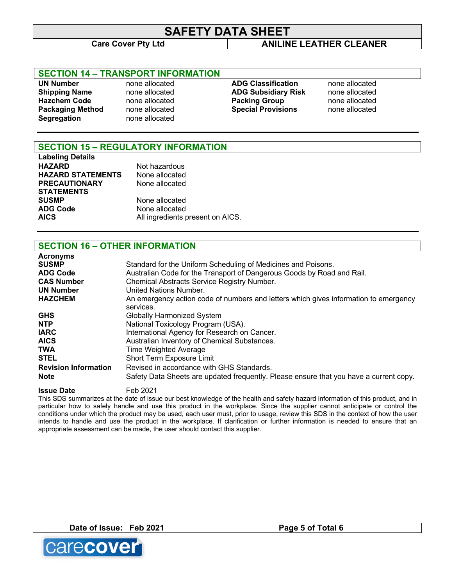## **Care Cover Pty Ltd ANILINE LEATHER CLEANER**

## **SECTION 14 – TRANSPORT INFORMATION**

**UN Number** none allocated **ADG Classification** none allocated **Segregation** none allocated

**Shipping Name** none allocated **ADG Subsidiary Risk** none allocated **Hazchem Code** none allocated **Packing Group** none allocated **Packaging Method** none allocated **Special Provisions** none allocated

## **SECTION 15 – REGULATORY INFORMATION**

**Labeling Details HAZARD** Not hazardous<br> **HAZARD STATEMENTS** None allocated **HAZARD STATEMENTS PRECAUTIONARY STATEMENTS SUSMP** None allocated **ADG Code** None allocated

None allocated AICS AICS All ingredients present on AICS.

## **SECTION 16 – OTHER INFORMATION**

| <b>Acronyms</b>             |                                                                                                   |
|-----------------------------|---------------------------------------------------------------------------------------------------|
| <b>SUSMP</b>                | Standard for the Uniform Scheduling of Medicines and Poisons.                                     |
| <b>ADG Code</b>             | Australian Code for the Transport of Dangerous Goods by Road and Rail.                            |
| <b>CAS Number</b>           | Chemical Abstracts Service Registry Number.                                                       |
| <b>UN Number</b>            | United Nations Number.                                                                            |
| <b>HAZCHEM</b>              | An emergency action code of numbers and letters which gives information to emergency<br>services. |
| <b>GHS</b>                  | <b>Globally Harmonized System</b>                                                                 |
| <b>NTP</b>                  | National Toxicology Program (USA).                                                                |
| <b>IARC</b>                 | International Agency for Research on Cancer.                                                      |
| <b>AICS</b>                 | Australian Inventory of Chemical Substances.                                                      |
| <b>TWA</b>                  | <b>Time Weighted Average</b>                                                                      |
| <b>STEL</b>                 | Short Term Exposure Limit                                                                         |
| <b>Revision Information</b> | Revised in accordance with GHS Standards.                                                         |
| <b>Note</b>                 | Safety Data Sheets are updated frequently. Please ensure that you have a current copy.            |

**Issue Date** Feb 2021

This SDS summarizes at the date of issue our best knowledge of the health and safety hazard information of this product, and in particular how to safely handle and use this product in the workplace. Since the supplier cannot anticipate or control the conditions under which the product may be used, each user must, prior to usage, review this SDS in the context of how the user intends to handle and use the product in the workplace. If clarification or further information is needed to ensure that an appropriate assessment can be made, the user should contact this supplier.